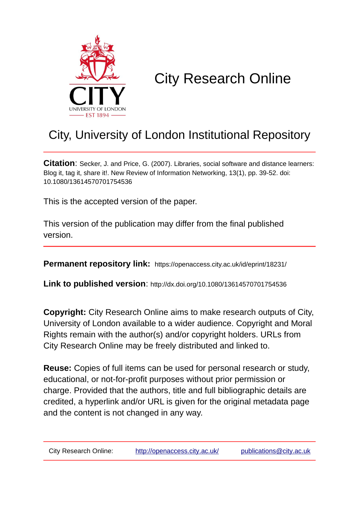

# City Research Online

# City, University of London Institutional Repository

**Citation**: Secker, J. and Price, G. (2007). Libraries, social software and distance learners: Blog it, tag it, share it!. New Review of Information Networking, 13(1), pp. 39-52. doi: 10.1080/13614570701754536

This is the accepted version of the paper.

This version of the publication may differ from the final published version.

**Permanent repository link:** https://openaccess.city.ac.uk/id/eprint/18231/

**Link to published version**: http://dx.doi.org/10.1080/13614570701754536

**Copyright:** City Research Online aims to make research outputs of City, University of London available to a wider audience. Copyright and Moral Rights remain with the author(s) and/or copyright holders. URLs from City Research Online may be freely distributed and linked to.

**Reuse:** Copies of full items can be used for personal research or study, educational, or not-for-profit purposes without prior permission or charge. Provided that the authors, title and full bibliographic details are credited, a hyperlink and/or URL is given for the original metadata page and the content is not changed in any way.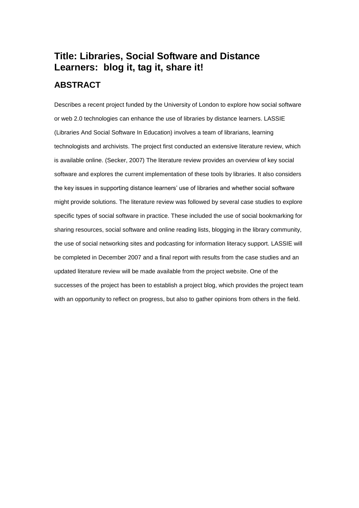## **Title: Libraries, Social Software and Distance Learners: blog it, tag it, share it! ABSTRACT**

Describes a recent project funded by the University of London to explore how social software or web 2.0 technologies can enhance the use of libraries by distance learners. LASSIE (Libraries And Social Software In Education) involves a team of librarians, learning technologists and archivists. The project first conducted an extensive literature review, which is available online. (Secker, 2007) The literature review provides an overview of key social software and explores the current implementation of these tools by libraries. It also considers the key issues in supporting distance learners' use of libraries and whether social software might provide solutions. The literature review was followed by several case studies to explore specific types of social software in practice. These included the use of social bookmarking for sharing resources, social software and online reading lists, blogging in the library community, the use of social networking sites and podcasting for information literacy support. LASSIE will be completed in December 2007 and a final report with results from the case studies and an updated literature review will be made available from the project website. One of the successes of the project has been to establish a project blog, which provides the project team with an opportunity to reflect on progress, but also to gather opinions from others in the field.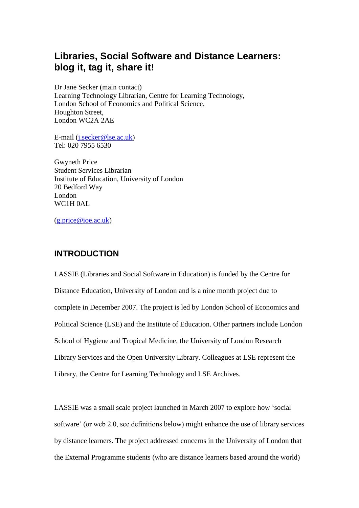### **Libraries, Social Software and Distance Learners: blog it, tag it, share it!**

Dr Jane Secker (main contact) Learning Technology Librarian, Centre for Learning Technology, London School of Economics and Political Science, Houghton Street, London WC2A 2AE

E-mail [\(j.secker@lse.ac.uk\)](mailto:j.secker@lse.ac.uk) Tel: 020 7955 6530

Gwyneth Price Student Services Librarian Institute of Education, University of London 20 Bedford Way London WC1H 0AL

[\(g.price@ioe.ac.uk\)](mailto:g.price@ioe.ac.uk)

### **INTRODUCTION**

LASSIE (Libraries and Social Software in Education) is funded by the Centre for Distance Education, University of London and is a nine month project due to complete in December 2007. The project is led by London School of Economics and Political Science (LSE) and the Institute of Education. Other partners include London School of Hygiene and Tropical Medicine, the University of London Research Library Services and the Open University Library. Colleagues at LSE represent the Library, the Centre for Learning Technology and LSE Archives.

LASSIE was a small scale project launched in March 2007 to explore how 'social software' (or web 2.0, see definitions below) might enhance the use of library services by distance learners. The project addressed concerns in the University of London that the External Programme students (who are distance learners based around the world)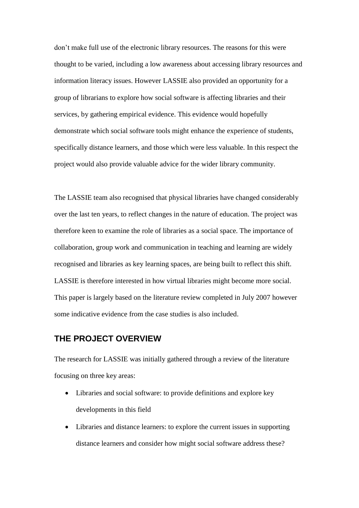don't make full use of the electronic library resources. The reasons for this were thought to be varied, including a low awareness about accessing library resources and information literacy issues. However LASSIE also provided an opportunity for a group of librarians to explore how social software is affecting libraries and their services, by gathering empirical evidence. This evidence would hopefully demonstrate which social software tools might enhance the experience of students, specifically distance learners, and those which were less valuable. In this respect the project would also provide valuable advice for the wider library community.

The LASSIE team also recognised that physical libraries have changed considerably over the last ten years, to reflect changes in the nature of education. The project was therefore keen to examine the role of libraries as a social space. The importance of collaboration, group work and communication in teaching and learning are widely recognised and libraries as key learning spaces, are being built to reflect this shift. LASSIE is therefore interested in how virtual libraries might become more social. This paper is largely based on the literature review completed in July 2007 however some indicative evidence from the case studies is also included.

#### **THE PROJECT OVERVIEW**

The research for LASSIE was initially gathered through a review of the literature focusing on three key areas:

- Libraries and social software: to provide definitions and explore key developments in this field
- Libraries and distance learners: to explore the current issues in supporting distance learners and consider how might social software address these?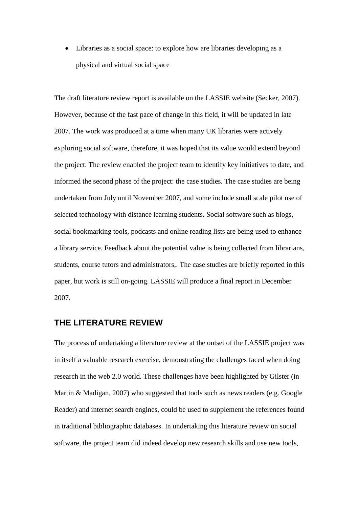Libraries as a social space: to explore how are libraries developing as a physical and virtual social space

The draft literature review report is available on the LASSIE website (Secker, 2007). However, because of the fast pace of change in this field, it will be updated in late 2007. The work was produced at a time when many UK libraries were actively exploring social software, therefore, it was hoped that its value would extend beyond the project. The review enabled the project team to identify key initiatives to date, and informed the second phase of the project: the case studies. The case studies are being undertaken from July until November 2007, and some include small scale pilot use of selected technology with distance learning students. Social software such as blogs, social bookmarking tools, podcasts and online reading lists are being used to enhance a library service. Feedback about the potential value is being collected from librarians, students, course tutors and administrators,. The case studies are briefly reported in this paper, but work is still on-going. LASSIE will produce a final report in December 2007.

#### **THE LITERATURE REVIEW**

The process of undertaking a literature review at the outset of the LASSIE project was in itself a valuable research exercise, demonstrating the challenges faced when doing research in the web 2.0 world. These challenges have been highlighted by Gilster (in Martin & Madigan, 2007) who suggested that tools such as news readers (e.g. Google Reader) and internet search engines, could be used to supplement the references found in traditional bibliographic databases. In undertaking this literature review on social software, the project team did indeed develop new research skills and use new tools,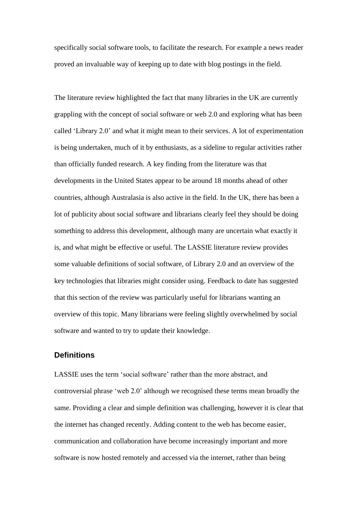specifically social software tools, to facilitate the research. For example a news reader proved an invaluable way of keeping up to date with blog postings in the field.

The literature review highlighted the fact that many libraries in the UK are currently grappling with the concept of social software or web 2.0 and exploring what has been called 'Library 2.0' and what it might mean to their services. A lot of experimentation is being undertaken, much of it by enthusiasts, as a sideline to regular activities rather than officially funded research. A key finding from the literature was that developments in the United States appear to be around 18 months ahead of other countries, although Australasia is also active in the field. In the UK, there has been a lot of publicity about social software and librarians clearly feel they should be doing something to address this development, although many are uncertain what exactly it is, and what might be effective or useful. The LASSIE literature review provides some valuable definitions of social software, of Library 2.0 and an overview of the key technologies that libraries might consider using. Feedback to date has suggested that this section of the review was particularly useful for librarians wanting an overview of this topic. Many librarians were feeling slightly overwhelmed by social software and wanted to try to update their knowledge.

#### **Definitions**

LASSIE uses the term 'social software' rather than the more abstract, and controversial phrase 'web 2.0' although we recognised these terms mean broadly the same. Providing a clear and simple definition was challenging, however it is clear that the internet has changed recently. Adding content to the web has become easier, communication and collaboration have become increasingly important and more software is now hosted remotely and accessed via the internet, rather than being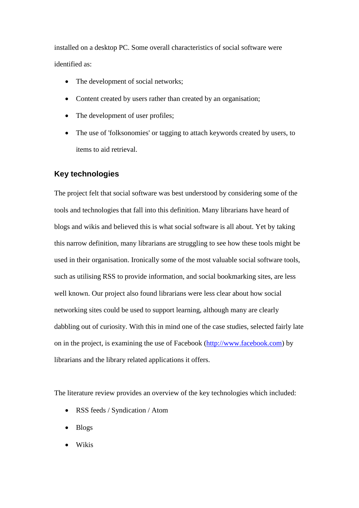installed on a desktop PC. Some overall characteristics of social software were identified as:

- The development of social networks;
- Content created by users rather than created by an organisation;
- The development of user profiles;
- The use of 'folksonomies' or tagging to attach keywords created by users, to items to aid retrieval.

#### **Key technologies**

The project felt that social software was best understood by considering some of the tools and technologies that fall into this definition. Many librarians have heard of blogs and wikis and believed this is what social software is all about. Yet by taking this narrow definition, many librarians are struggling to see how these tools might be used in their organisation. Ironically some of the most valuable social software tools, such as utilising RSS to provide information, and social bookmarking sites, are less well known. Our project also found librarians were less clear about how social networking sites could be used to support learning, although many are clearly dabbling out of curiosity. With this in mind one of the case studies, selected fairly late on in the project, is examining the use of Facebook [\(http://www.facebook.com\)](http://www.facebook.com/) by librarians and the library related applications it offers.

The literature review provides an overview of the key technologies which included:

- RSS feeds / Syndication / Atom
- Blogs
- Wikis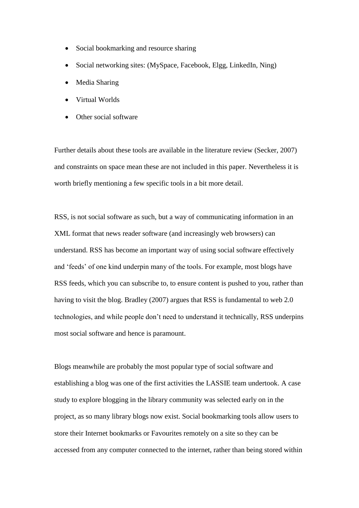- Social bookmarking and resource sharing
- Social networking sites: (MySpace, Facebook, Elgg, LinkedIn, Ning)
- Media Sharing
- Virtual Worlds
- Other social software

Further details about these tools are available in the literature review (Secker, 2007) and constraints on space mean these are not included in this paper. Nevertheless it is worth briefly mentioning a few specific tools in a bit more detail.

RSS, is not social software as such, but a way of communicating information in an XML format that news reader software (and increasingly web browsers) can understand. RSS has become an important way of using social software effectively and 'feeds' of one kind underpin many of the tools. For example, most blogs have RSS feeds, which you can subscribe to, to ensure content is pushed to you, rather than having to visit the blog. Bradley (2007) argues that RSS is fundamental to web 2.0 technologies, and while people don't need to understand it technically, RSS underpins most social software and hence is paramount.

Blogs meanwhile are probably the most popular type of social software and establishing a blog was one of the first activities the LASSIE team undertook. A case study to explore blogging in the library community was selected early on in the project, as so many library blogs now exist. Social bookmarking tools allow users to store their Internet bookmarks or Favourites remotely on a site so they can be accessed from any computer connected to the internet, rather than being stored within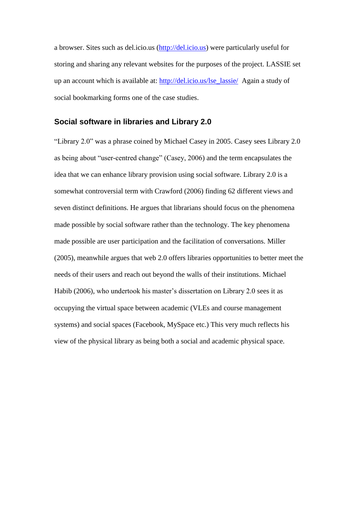a browser. Sites such as del.icio.us [\(http://del.icio.us\)](http://del.icio.us/) were particularly useful for storing and sharing any relevant websites for the purposes of the project. LASSIE set up an account which is available at: [http://del.icio.us/lse\\_lassie/](http://del.icio.us/lse_lassie/) Again a study of social bookmarking forms one of the case studies.

#### **Social software in libraries and Library 2.0**

"Library 2.0" was a phrase coined by Michael Casey in 2005. Casey sees Library 2.0 as being about "user-centred change" (Casey, 2006) and the term encapsulates the idea that we can enhance library provision using social software. Library 2.0 is a somewhat controversial term with Crawford (2006) finding 62 different views and seven distinct definitions. He argues that librarians should focus on the phenomena made possible by social software rather than the technology. The key phenomena made possible are user participation and the facilitation of conversations. Miller (2005), meanwhile argues that web 2.0 offers libraries opportunities to better meet the needs of their users and reach out beyond the walls of their institutions. Michael Habib (2006), who undertook his master's dissertation on Library 2.0 sees it as occupying the virtual space between academic (VLEs and course management systems) and social spaces (Facebook, MySpace etc.) This very much reflects his view of the physical library as being both a social and academic physical space.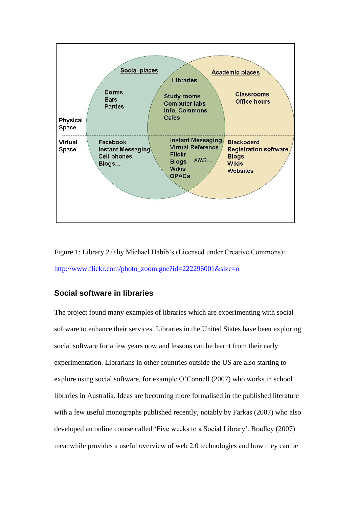

Figure 1: Library 2.0 by Michael Habib's (Licensed under Creative Commons): [http://www.flickr.com/photo\\_zoom.gne?id=222296001&size=o](http://www.flickr.com/photo_zoom.gne?id=222296001&size=o)

#### **Social software in libraries**

The project found many examples of libraries which are experimenting with social software to enhance their services. Libraries in the United States have been exploring social software for a few years now and lessons can be learnt from their early experimentation. Librarians in other countries outside the US are also starting to explore using social software, for example O'Connell (2007) who works in school libraries in Australia. Ideas are becoming more formalised in the published literature with a few useful monographs published recently, notably by Farkas (2007) who also developed an online course called 'Five weeks to a Social Library'. Bradley (2007) meanwhile provides a useful overview of web 2.0 technologies and how they can be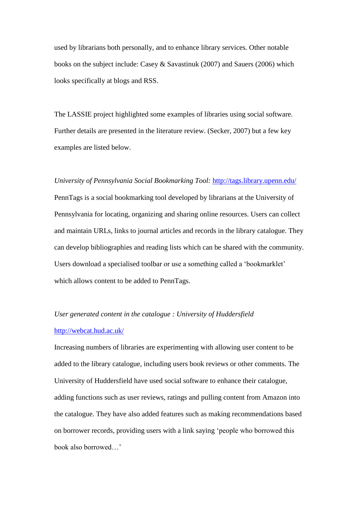used by librarians both personally, and to enhance library services. Other notable books on the subject include: Casey & Savastinuk (2007) and Sauers (2006) which looks specifically at blogs and RSS.

The LASSIE project highlighted some examples of libraries using social software. Further details are presented in the literature review. (Secker, 2007) but a few key examples are listed below.

#### *University of Pennsylvania Social Bookmarking Tool:* <http://tags.library.upenn.edu/>

PennTags is a social bookmarking tool developed by librarians at the University of Pennsylvania for locating, organizing and sharing online resources. Users can collect and maintain URLs, links to journal articles and records in the library catalogue. They can develop bibliographies and reading lists which can be shared with the community. Users download a specialised toolbar or use a something called a 'bookmarklet' which allows content to be added to PennTags.

## *User generated content in the catalogue : University of Huddersfield* <http://webcat.hud.ac.uk/>

Increasing numbers of libraries are experimenting with allowing user content to be added to the library catalogue, including users book reviews or other comments. The University of Huddersfield have used social software to enhance their catalogue, adding functions such as user reviews, ratings and pulling content from Amazon into the catalogue. They have also added features such as making recommendations based on borrower records, providing users with a link saying 'people who borrowed this book also borrowed…'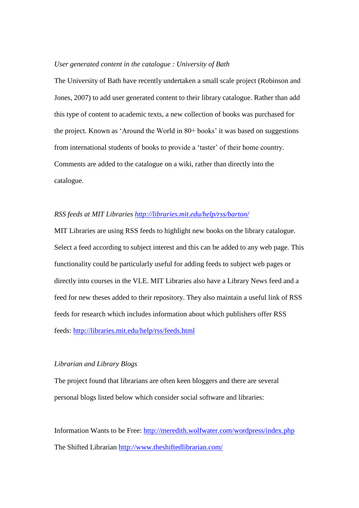#### *User generated content in the catalogue : University of Bath*

The University of Bath have recently undertaken a small scale project (Robinson and Jones, 2007) to add user generated content to their library catalogue. Rather than add this type of content to academic texts, a new collection of books was purchased for the project. Known as 'Around the World in 80+ books' it was based on suggestions from international students of books to provide a 'taster' of their home country. Comments are added to the catalogue on a wiki, rather than directly into the catalogue.

#### *RSS feeds at MIT Libraries<http://libraries.mit.edu/help/rss/barton/>*

MIT Libraries are using RSS feeds to highlight new books on the library catalogue. Select a feed according to subject interest and this can be added to any web page. This functionality could be particularly useful for adding feeds to subject web pages or directly into courses in the VLE. MIT Libraries also have a Library News feed and a feed for new theses added to their repository. They also maintain a useful link of RSS feeds for research which includes information about which publishers offer RSS feeds:<http://libraries.mit.edu/help/rss/feeds.html>

#### *Librarian and Library Blogs*

The project found that librarians are often keen bloggers and there are several personal blogs listed below which consider social software and libraries:

Information Wants to be Free:<http://meredith.wolfwater.com/wordpress/index.php> The Shifted Librarian<http://www.theshiftedlibrarian.com/>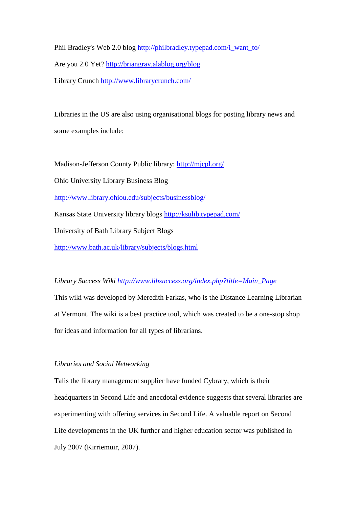Phil Bradley's Web 2.0 blog [http://philbradley.typepad.com/i\\_want\\_to/](http://philbradley.typepad.com/i_want_to/)  Are you 2.0 Yet?<http://briangray.alablog.org/blog> Library Crunch<http://www.librarycrunch.com/>

Libraries in the US are also using organisational blogs for posting library news and some examples include:

Madison-Jefferson County Public library:<http://mjcpl.org/> Ohio University Library Business Blog <http://www.library.ohiou.edu/subjects/businessblog/> Kansas State University library blogs<http://ksulib.typepad.com/> University of Bath Library Subject Blogs <http://www.bath.ac.uk/library/subjects/blogs.html>

#### *Library Success Wiki [http://www.libsuccess.org/index.php?title=Main\\_Page](http://www.libsuccess.org/index.php?title=Main_Page)*

This wiki was developed by Meredith Farkas, who is the Distance Learning Librarian at Vermont. The wiki is a best practice tool, which was created to be a one-stop shop for ideas and information for all types of librarians.

#### *Libraries and Social Networking*

Talis the library management supplier have funded Cybrary, which is their headquarters in Second Life and anecdotal evidence suggests that several libraries are experimenting with offering services in Second Life. A valuable report on Second Life developments in the UK further and higher education sector was published in July 2007 (Kirriemuir, 2007).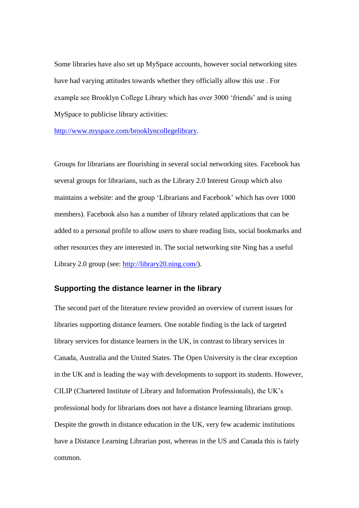Some libraries have also set up MySpace accounts, however social networking sites have had varying attitudes towards whether they officially allow this use . For example see Brooklyn College Library which has over 3000 'friends' and is using MySpace to publicise library activities:

[http://www.myspace.com/brooklyncollegelibrary.](http://www.myspace.com/brooklyncollegelibrary)

Groups for librarians are flourishing in several social networking sites. Facebook has several groups for librarians, such as the Library 2.0 Interest Group which also maintains a website: and the group 'Librarians and Facebook' which has over 1000 members). Facebook also has a number of library related applications that can be added to a personal profile to allow users to share reading lists, social bookmarks and other resources they are interested in. The social networking site Ning has a useful Library 2.0 group (see: [http://library20.ning.com/\)](http://library20.ning.com/).

#### **Supporting the distance learner in the library**

The second part of the literature review provided an overview of current issues for libraries supporting distance learners. One notable finding is the lack of targeted library services for distance learners in the UK, in contrast to library services in Canada, Australia and the United States. The Open University is the clear exception in the UK and is leading the way with developments to support its students. However, CILIP (Chartered Institute of Library and Information Professionals), the UK's professional body for librarians does not have a distance learning librarians group. Despite the growth in distance education in the UK, very few academic institutions have a Distance Learning Librarian post, whereas in the US and Canada this is fairly common.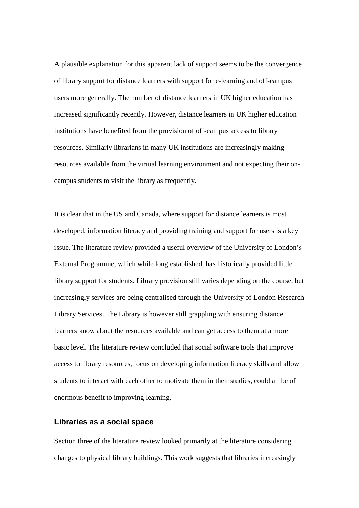A plausible explanation for this apparent lack of support seems to be the convergence of library support for distance learners with support for e-learning and off-campus users more generally. The number of distance learners in UK higher education has increased significantly recently. However, distance learners in UK higher education institutions have benefited from the provision of off-campus access to library resources. Similarly librarians in many UK institutions are increasingly making resources available from the virtual learning environment and not expecting their oncampus students to visit the library as frequently.

It is clear that in the US and Canada, where support for distance learners is most developed, information literacy and providing training and support for users is a key issue. The literature review provided a useful overview of the University of London's External Programme, which while long established, has historically provided little library support for students. Library provision still varies depending on the course, but increasingly services are being centralised through the University of London Research Library Services. The Library is however still grappling with ensuring distance learners know about the resources available and can get access to them at a more basic level. The literature review concluded that social software tools that improve access to library resources, focus on developing information literacy skills and allow students to interact with each other to motivate them in their studies, could all be of enormous benefit to improving learning.

#### **Libraries as a social space**

Section three of the literature review looked primarily at the literature considering changes to physical library buildings. This work suggests that libraries increasingly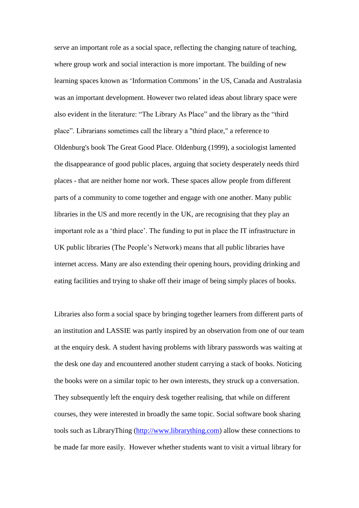serve an important role as a social space, reflecting the changing nature of teaching, where group work and social interaction is more important. The building of new learning spaces known as 'Information Commons' in the US, Canada and Australasia was an important development. However two related ideas about library space were also evident in the literature: "The Library As Place" and the library as the "third place". Librarians sometimes call the library a "third place," a reference to Oldenburg's book The Great Good Place. Oldenburg (1999), a sociologist lamented the disappearance of good public places, arguing that society desperately needs third places - that are neither home nor work. These spaces allow people from different parts of a community to come together and engage with one another. Many public libraries in the US and more recently in the UK, are recognising that they play an important role as a 'third place'. The funding to put in place the IT infrastructure in UK public libraries (The People's Network) means that all public libraries have internet access. Many are also extending their opening hours, providing drinking and eating facilities and trying to shake off their image of being simply places of books.

Libraries also form a social space by bringing together learners from different parts of an institution and LASSIE was partly inspired by an observation from one of our team at the enquiry desk. A student having problems with library passwords was waiting at the desk one day and encountered another student carrying a stack of books. Noticing the books were on a similar topic to her own interests, they struck up a conversation. They subsequently left the enquiry desk together realising, that while on different courses, they were interested in broadly the same topic. Social software book sharing tools such as LibraryThing [\(http://www.librarything.com\)](http://www.librarything.com/) allow these connections to be made far more easily. However whether students want to visit a virtual library for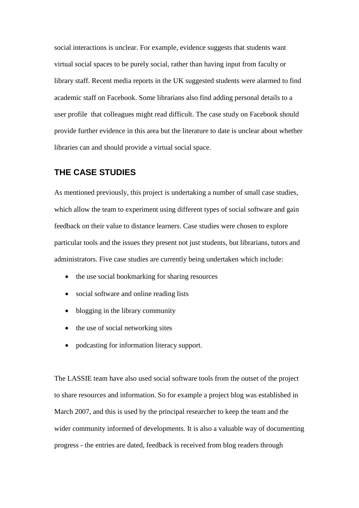social interactions is unclear. For example, evidence suggests that students want virtual social spaces to be purely social, rather than having input from faculty or library staff. Recent media reports in the UK suggested students were alarmed to find academic staff on Facebook. Some librarians also find adding personal details to a user profile that colleagues might read difficult. The case study on Facebook should provide further evidence in this area but the literature to date is unclear about whether libraries can and should provide a virtual social space.

#### **THE CASE STUDIES**

As mentioned previously, this project is undertaking a number of small case studies, which allow the team to experiment using different types of social software and gain feedback on their value to distance learners. Case studies were chosen to explore particular tools and the issues they present not just students, but librarians, tutors and administrators. Five case studies are currently being undertaken which include:

- the use social bookmarking for sharing resources
- social software and online reading lists
- blogging in the library community
- $\bullet$  the use of social networking sites
- podcasting for information literacy support.

The LASSIE team have also used social software tools from the outset of the project to share resources and information. So for example a project blog was established in March 2007, and this is used by the principal researcher to keep the team and the wider community informed of developments. It is also a valuable way of documenting progress - the entries are dated, feedback is received from blog readers through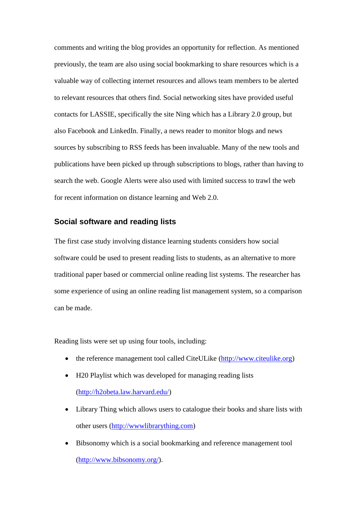comments and writing the blog provides an opportunity for reflection. As mentioned previously, the team are also using social bookmarking to share resources which is a valuable way of collecting internet resources and allows team members to be alerted to relevant resources that others find. Social networking sites have provided useful contacts for LASSIE, specifically the site Ning which has a Library 2.0 group, but also Facebook and LinkedIn. Finally, a news reader to monitor blogs and news sources by subscribing to RSS feeds has been invaluable. Many of the new tools and publications have been picked up through subscriptions to blogs, rather than having to search the web. Google Alerts were also used with limited success to trawl the web for recent information on distance learning and Web 2.0.

#### **Social software and reading lists**

The first case study involving distance learning students considers how social software could be used to present reading lists to students, as an alternative to more traditional paper based or commercial online reading list systems. The researcher has some experience of using an online reading list management system, so a comparison can be made.

Reading lists were set up using four tools, including:

- the reference management tool called CiteULike [\(http://www.citeulike.org\)](http://www.citeulike.org/)
- H20 Playlist which was developed for managing reading lists [\(http://h2obeta.law.harvard.edu/\)](http://h2obeta.law.harvard.edu/)
- Library Thing which allows users to catalogue their books and share lists with other users [\(http://wwwlibrarything.com\)](http://wwwlibrarything.com/)
- Bibsonomy which is a social bookmarking and reference management tool [\(http://www.bibsonomy.org/\)](http://www.bibsonomy.org/).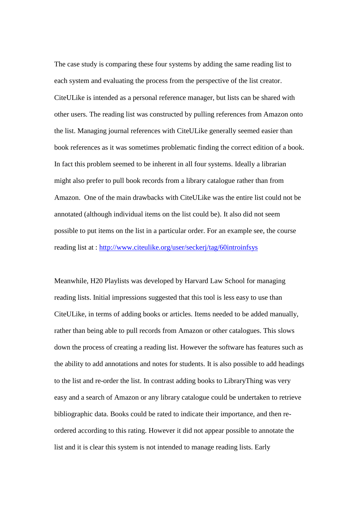The case study is comparing these four systems by adding the same reading list to each system and evaluating the process from the perspective of the list creator. CiteULike is intended as a personal reference manager, but lists can be shared with other users. The reading list was constructed by pulling references from Amazon onto the list. Managing journal references with CiteULike generally seemed easier than book references as it was sometimes problematic finding the correct edition of a book. In fact this problem seemed to be inherent in all four systems. Ideally a librarian might also prefer to pull book records from a library catalogue rather than from Amazon. One of the main drawbacks with CiteULike was the entire list could not be annotated (although individual items on the list could be). It also did not seem possible to put items on the list in a particular order. For an example see, the course reading list at : <http://www.citeulike.org/user/seckerj/tag/60introinfsys>

Meanwhile, H20 Playlists was developed by Harvard Law School for managing reading lists. Initial impressions suggested that this tool is less easy to use than CiteULike, in terms of adding books or articles. Items needed to be added manually, rather than being able to pull records from Amazon or other catalogues. This slows down the process of creating a reading list. However the software has features such as the ability to add annotations and notes for students. It is also possible to add headings to the list and re-order the list. In contrast adding books to LibraryThing was very easy and a search of Amazon or any library catalogue could be undertaken to retrieve bibliographic data. Books could be rated to indicate their importance, and then reordered according to this rating. However it did not appear possible to annotate the list and it is clear this system is not intended to manage reading lists. Early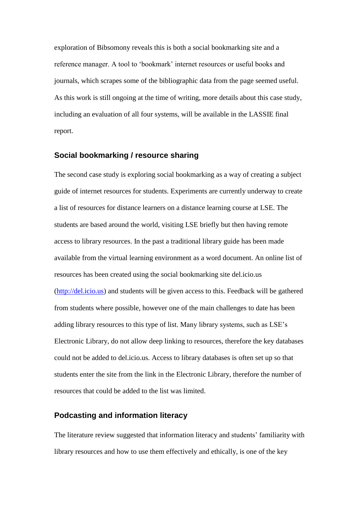exploration of Bibsomony reveals this is both a social bookmarking site and a reference manager. A tool to 'bookmark' internet resources or useful books and journals, which scrapes some of the bibliographic data from the page seemed useful. As this work is still ongoing at the time of writing, more details about this case study, including an evaluation of all four systems, will be available in the LASSIE final report.

#### **Social bookmarking / resource sharing**

The second case study is exploring social bookmarking as a way of creating a subject guide of internet resources for students. Experiments are currently underway to create a list of resources for distance learners on a distance learning course at LSE. The students are based around the world, visiting LSE briefly but then having remote access to library resources. In the past a traditional library guide has been made available from the virtual learning environment as a word document. An online list of resources has been created using the social bookmarking site del.icio.us [\(http://del.icio.us\)](http://del.icio.us/) and students will be given access to this. Feedback will be gathered from students where possible, however one of the main challenges to date has been adding library resources to this type of list. Many library systems, such as LSE's Electronic Library, do not allow deep linking to resources, therefore the key databases could not be added to del.icio.us. Access to library databases is often set up so that students enter the site from the link in the Electronic Library, therefore the number of resources that could be added to the list was limited.

#### **Podcasting and information literacy**

The literature review suggested that information literacy and students' familiarity with library resources and how to use them effectively and ethically, is one of the key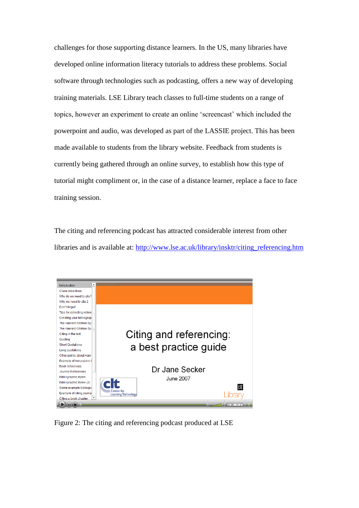challenges for those supporting distance learners. In the US, many libraries have developed online information literacy tutorials to address these problems. Social software through technologies such as podcasting, offers a new way of developing training materials. LSE Library teach classes to full-time students on a range of topics, however an experiment to create an online 'screencast' which included the powerpoint and audio, was developed as part of the LASSIE project. This has been made available to students from the library website. Feedback from students is currently being gathered through an online survey, to establish how this type of tutorial might compliment or, in the case of a distance learner, replace a face to face training session.

The citing and referencing podcast has attracted considerable interest from other libraries and is available at: [http://www.lse.ac.uk/library/insktr/citing\\_referencing.htm](http://www.lse.ac.uk/library/insktr/citing_referencing.htm)



Figure 2: The citing and referencing podcast produced at LSE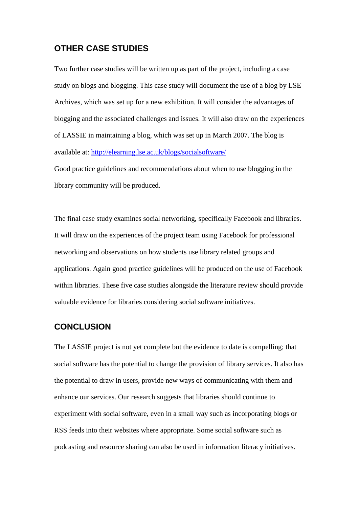#### **OTHER CASE STUDIES**

Two further case studies will be written up as part of the project, including a case study on blogs and blogging. This case study will document the use of a blog by LSE Archives, which was set up for a new exhibition. It will consider the advantages of blogging and the associated challenges and issues. It will also draw on the experiences of LASSIE in maintaining a blog, which was set up in March 2007. The blog is available at:<http://elearning.lse.ac.uk/blogs/socialsoftware/>

Good practice guidelines and recommendations about when to use blogging in the library community will be produced.

The final case study examines social networking, specifically Facebook and libraries. It will draw on the experiences of the project team using Facebook for professional networking and observations on how students use library related groups and applications. Again good practice guidelines will be produced on the use of Facebook within libraries. These five case studies alongside the literature review should provide valuable evidence for libraries considering social software initiatives.

#### **CONCLUSION**

The LASSIE project is not yet complete but the evidence to date is compelling; that social software has the potential to change the provision of library services. It also has the potential to draw in users, provide new ways of communicating with them and enhance our services. Our research suggests that libraries should continue to experiment with social software, even in a small way such as incorporating blogs or RSS feeds into their websites where appropriate. Some social software such as podcasting and resource sharing can also be used in information literacy initiatives.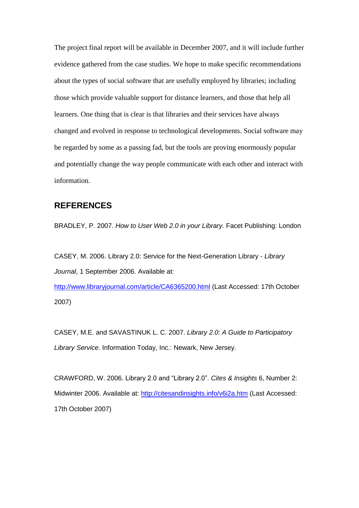The project final report will be available in December 2007, and it will include further evidence gathered from the case studies. We hope to make specific recommendations about the types of social software that are usefully employed by libraries; including those which provide valuable support for distance learners, and those that help all learners. One thing that is clear is that libraries and their services have always changed and evolved in response to technological developments. Social software may be regarded by some as a passing fad, but the tools are proving enormously popular and potentially change the way people communicate with each other and interact with information.

#### **REFERENCES**

BRADLEY, P. 2007. *How to User Web 2.0 in your Library.* Facet Publishing: London

CASEY, M. 2006. Library 2.0: Service for the Next-Generation Library - *Library Journal*, 1 September 2006. Available at:

<http://www.libraryjournal.com/article/CA6365200.html> (Last Accessed: 17th October 2007)

CASEY, M.E. and SAVASTINUK L. C. 2007. *Library 2.0: A Guide to Participatory Library Service*. Information Today, Inc.: Newark, New Jersey.

CRAWFORD, W. 2006. Library 2.0 and "Library 2.0". *Cites & Insights* 6, Number 2: Midwinter 2006. Available at:<http://citesandinsights.info/v6i2a.htm> (Last Accessed: 17th October 2007)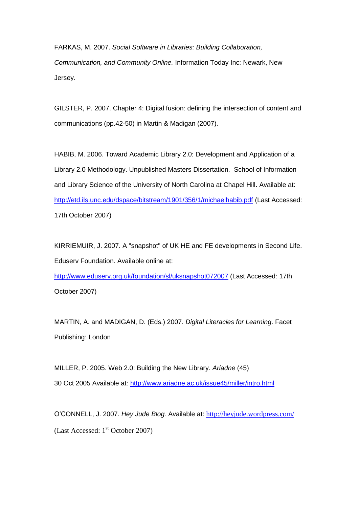FARKAS, M. 2007. *Social Software in Libraries: Building Collaboration, Communication, and Community Online.* Information Today Inc: Newark, New Jersey.

GILSTER, P. 2007. Chapter 4: Digital fusion: defining the intersection of content and communications (pp.42-50) in Martin & Madigan (2007).

HABIB, M. 2006. Toward Academic Library 2.0: Development and Application of a Library 2.0 Methodology. Unpublished Masters Dissertation. School of Information and Library Science of the University of North Carolina at Chapel Hill. Available at: <http://etd.ils.unc.edu/dspace/bitstream/1901/356/1/michaelhabib.pdf> (Last Accessed: 17th October 2007)

KIRRIEMUIR, J. 2007. A "snapshot" of UK HE and FE developments in Second Life. Eduserv Foundation. Available online at:

<http://www.eduserv.org.uk/foundation/sl/uksnapshot072007> (Last Accessed: 17th October 2007)

MARTIN, A. and MADIGAN, D. (Eds.) 2007. *Digital Literacies for Learning*. Facet Publishing: London

MILLER, P. 2005. Web 2.0: Building the New Library. *Ariadne* (45) 30 Oct 2005 Available at:<http://www.ariadne.ac.uk/issue45/miller/intro.html>

O'CONNELL, J. 2007. *Hey Jude Blog.* Available at: <http://heyjude.wordpress.com/> (Last Accessed: 1<sup>st</sup> October 2007)